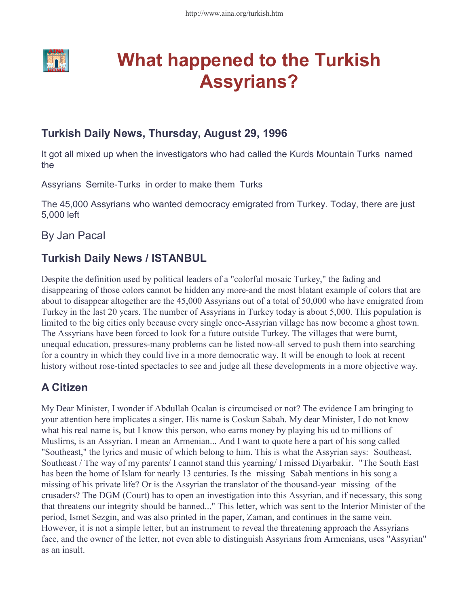

# What happened to the Turkish Assyrians?

## Turkish Daily News, Thursday, August 29, 1996

It got all mixed up when the investigators who had called the Kurds Mountain Turksí named the

Assyrians Eemite-Turksí in order to make them eTurksí

The 45,000 Assyrians who wanted democracy emigrated from Turkey. Today, there are just 5,000 left

## By Jan Pacal

## Turkish Daily News / ISTANBUL

Despite the definition used by political leaders of a "colorful mosaic Turkey," the fading and disappearing of those colors cannot be hidden any more-and the most blatant example of colors that are about to disappear altogether are the 45,000 Assyrians out of a total of 50,000 who have emigrated from Turkey in the last 20 years. The number of Assyrians in Turkey today is about 5,000. This population is limited to the big cities only because every single once-Assyrian village has now become a ghost town. The Assyrians have been forced to look for a future outside Turkey. The villages that were burnt, unequal education, pressures-many problems can be listed now-all served to push them into searching for a country in which they could live in a more democratic way. It will be enough to look at recent history without rose-tinted spectacles to see and judge all these developments in a more objective way.

## A Citizen

My Dear Minister, I wonder if Abdullah Ocalan is circumcised or not? The evidence I am bringing to your attention here implicates a singer. His name is Coskun Sabah. My dear Minister, I do not know what his real name is, but I know this person, who earns money by playing his ud to millions of Muslirns, is an Assyrian. I mean an Armenian... And I want to quote here a part of his song called "Southeast," the lyrics and music of which belong to him. This is what the Assyrian says: ëSoutheast, Southeast / The way of my parents/ I cannot stand this yearning/ I missed Diyarbakir.í "The South East has been the home of Islam for nearly 13 centuries. Is the ëmissingí Sabah mentions in his song a missing of his private life? Or is the Assyrian the translator of the thousand-year ëmissingí of the crusaders? The DGM (Court) has to open an investigation into this Assyrian, and if necessary, this song that threatens our integrity should be banned..." This letter, which was sent to the Interior Minister of the period, Ismet Sezgin, and was also printed in the paper, Zaman, and continues in the same vein. However, it is not a simple letter, but an instrument to reveal the threatening approach the Assyrians face, and the owner of the letter, not even able to distinguish Assyrians from Armenians, uses "Assyrian" as an insult.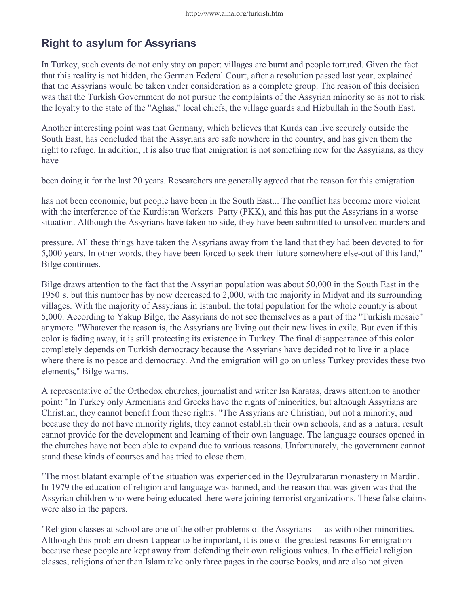## Right to asylum for Assyrians

In Turkey, such events do not only stay on paper: villages are burnt and people tortured. Given the fact that this reality is not hidden, the German Federal Court, after a resolution passed last year, explained that the Assyrians would be taken under consideration as a complete group. The reason of this decision was that the Turkish Government do not pursue the complaints of the Assyrian minority so as not to risk the loyalty to the state of the "Aghas," local chiefs, the village guards and Hizbullah in the South East.

Another interesting point was that Germany, which believes that Kurds can live securely outside the South East, has concluded that the Assyrians are safe nowhere in the country, and has given them the right to refuge. In addition, it is also true that emigration is not something new for the Assyrians, as they have

been doing it for the last 20 years. Researchers are generally agreed that the reason for this emigration

has not been economic, but people have been in the South East... The conflict has become more violent with the interference of the Kurdistan Workersí Party (PKK), and this has put the Assyrians in a worse situation. Although the Assyrians have taken no side, they have been submitted to unsolved murders and

pressure. All these things have taken the Assyrians away from the land that they had been devoted to for 5,000 years. In other words, they have been forced to seek their future somewhere else-out of this land," Bilge continues.

Bilge draws attention to the fact that the Assyrian population was about 50,000 in the South East in the 1950ís, but this number has by now decreased to 2,000, with the majority in Midyat and its surrounding villages. With the majority of Assyrians in Istanbul, the total population for the whole country is about 5,000. According to Yakup Bilge, the Assyrians do not see themselves as a part of the "Turkish mosaic" anymore. "Whatever the reason is, the Assyrians are living out their new lives in exile. But even if this color is fading away, it is still protecting its existence in Turkey. The final disappearance of this color completely depends on Turkish democracy because the Assyrians have decided not to live in a place where there is no peace and democracy. And the emigration will go on unless Turkey provides these two elements," Bilge warns.

A representative of the Orthodox churches, journalist and writer Isa Karatas, draws attention to another point: "In Turkey only Armenians and Greeks have the rights of minorities, but although Assyrians are Christian, they cannot benefit from these rights. "The Assyrians are Christian, but not a minority, and because they do not have minority rights, they cannot establish their own schools, and as a natural result cannot provide for the development and learning of their own language. The language courses opened in the churches have not been able to expand due to various reasons. Unfortunately, the government cannot stand these kinds of courses and has tried to close them.

"The most blatant example of the situation was experienced in the Deyrulzafaran monastery in Mardin. In 1979 the education of religion and language was banned, and the reason that was given was that the Assyrian children who were being educated there were joining terrorist organizations. These false claims were also in the papers.

"Religion classes at school are one of the other problems of the Assyrians --- as with other minorities. Although this problem doesnít appear to be important, it is one of the greatest reasons for emigration because these people are kept away from defending their own religious values. In the official religion classes, religions other than Islam take only three pages in the course books, and are also not given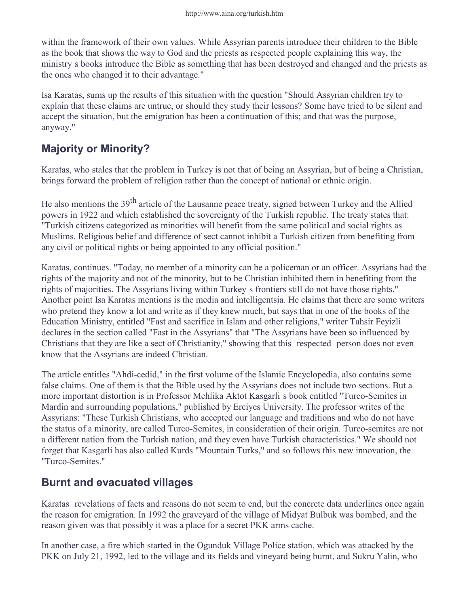within the framework of their own values. While Assyrian parents introduce their children to the Bible as the book that shows the way to God and the priests as respected people explaining this way, the ministryís books introduce the Bible as something that has been destroyed and changed and the priests as the ones who changed it to their advantage."

Isa Karatas, sums up the results of this situation with the question "Should Assyrian children try to explain that these claims are untrue, or should they study their lessons? Some have tried to be silent and accept the situation, but the emigration has been a continuation of this; and that was the purpose, anyway."

## Majority or Minority?

Karatas, who stales that the problem in Turkey is not that of being an Assyrian, but of being a Christian, brings forward the problem of religion rather than the concept of national or ethnic origin.

He also mentions the 39<sup>th</sup> article of the Lausanne peace treaty, signed between Turkey and the Allied powers in 1922 and which established the sovereignty of the Turkish republic. The treaty states that: "Turkish citizens categorized as minorities will benefit from the same political and social rights as Muslims. Religious belief and difference of sect cannot inhibit a Turkish citizen from benefiting from any civil or political rights or being appointed to any official position."

Karatas, continues. "Today, no member of a minority can be a policeman or an officer. Assyrians had the rights of the majority and not of the minority, but to be Christian inhibited them in benefiting from the rights of majorities. The Assyrians living within Turkeyís frontiers still do not have those rights." Another point Isa Karatas mentions is the media and intelligentsia. He claims that there are some writers who pretend they know a lot and write as if they knew much, but says that in one of the books of the Education Ministry, entitled "Fast and sacrifice in Islam and other religions," writer Tahsir Feyizli declares in the section called "Fast in the Assyrians" that "The Assyrians have been so influenced by Christians that they are like a sect of Christianity," showing that this ërespectedí person does not even know that the Assyrians are indeed Christian.

The article entitles "Ahdi-cedid," in the first volume of the Islamic Encyclopedia, also contains some false claims. One of them is that the Bible used by the Assyrians does not include two sections. But a more important distortion is in Professor Mehlika Aktot Kasgarliís book entitled "Turco-Semites in Mardin and surrounding populations," published by Erciyes University. The professor writes of the Assyrians: "These Turkish Christians, who accepted our language and traditions and who do not have the status of a minority, are called Turco-Semites, in consideration of their origin. Turco-semites are not a different nation from the Turkish nation, and they even have Turkish characteristics." We should not forget that Kasgarli has also called Kurds "Mountain Turks," and so follows this new innovation, the "Turco-Semites."

## Burnt and evacuated villages

Karatasí revelations of facts and reasons do not seem to end, but the concrete data underlines once again the reason for emigration. In 1992 the graveyard of the village of Midyat Bulbuk was bombed, and the reason given was that possibly it was a place for a secret PKK arms cache.

In another case, a fire which started in the Ogunduk Village Police station, which was attacked by the PKK on July 21, 1992, led to the village and its fields and vineyard being burnt, and Sukru Yalin, who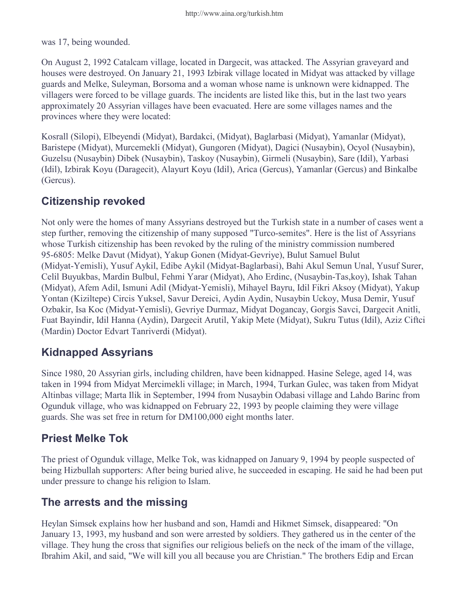was 17, being wounded.

On August 2, 1992 Catalcam village, located in Dargecit, was attacked. The Assyrian graveyard and houses were destroyed. On January 21, 1993 Izbirak village located in Midyat was attacked by village guards and Melke, Suleyman, Borsoma and a woman whose name is unknown were kidnapped. The villagers were forced to be village guards. The incidents are listed like this, but in the last two years approximately 20 Assyrian villages have been evacuated. Here are some villages names and the provinces where they were located:

Kosrall (Silopi), Elbeyendi (Midyat), Bardakci, (Midyat), Baglarbasi (Midyat), Yamanlar (Midyat), Baristepe (Midyat), Murcemekli (Midyat), Gungoren (Midyat), Dagici (Nusaybin), Ocyol (Nusaybin), Guzelsu (Nusaybin) Dibek (Nusaybin), Taskoy (Nusaybin), Girmeli (Nusaybin), Sare (Idil), Yarbasi (Idil), Izbirak Koyu (Daragecit), Alayurt Koyu (Idil), Arica (Gercus), Yamanlar (Gercus) and Binkalbe (Gercus).

#### Citizenship revoked

Not only were the homes of many Assyrians destroyed but the Turkish state in a number of cases went a step further, removing the citizenship of many supposed "Turco-semites". Here is the list of Assyrians whose Turkish citizenship has been revoked by the ruling of the ministry commission numbered 95-6805: Melke Davut (Midyat), Yakup Gonen (Midyat-Gevriye), Bulut Samuel Bulut (Midyat-Yemisli), Yusuf Aykil, Edibe Aykil (Midyat-Baglarbasi), Bahi Akul Semun Unal, Yusuf Surer, Celil Buyukbas, Mardin Bulbul, Fehmi Yarar (Midyat), Aho Erdinc, (Nusaybin-Tas,koy), Ishak Tahan (Midyat), Afem Adil, Ismuni Adil (Midyat-Yemisli), Mihayel Bayru, Idil Fikri Aksoy (Midyat), Yakup Yontan (Kiziltepe) Circis Yuksel, Savur Dereici, Aydin Aydin, Nusaybin Uckoy, Musa Demir, Yusuf Ozbakir, Isa Koc (Midyat-Yemisli), Gevriye Durmaz, Midyat Dogancay, Gorgis Savci, Dargecit Anitli, Fuat Bayindir, Idil Hanna (Aydin), Dargecit Arutil, Yakip Mete (Midyat), Sukru Tutus (Idil), Aziz Ciftci (Mardin) Doctor Edvart Tanriverdi (Midyat).

## Kidnapped Assyrians

Since 1980, 20 Assyrian girls, including children, have been kidnapped. Hasine Selege, aged 14, was taken in 1994 from Midyat Mercimekli village; in March, 1994, Turkan Gulec, was taken from Midyat Altinbas village; Marta Ilik in September, 1994 from Nusaybin Odabasi village and Lahdo Barinc from Ogunduk village, who was kidnapped on February 22, 1993 by people claiming they were village guards. She was set free in return for DM100,000 eight months later.

## Priest Melke Tok

The priest of Ogunduk village, Melke Tok, was kidnapped on January 9, 1994 by people suspected of being Hizbullah supporters: After being buried alive, he succeeded in escaping. He said he had been put under pressure to change his religion to Islam.

## The arrests and the missing

Heylan Simsek explains how her husband and son, Hamdi and Hikmet Simsek, disappeared: "On January 13, 1993, my husband and son were arrested by soldiers. They gathered us in the center of the village. They hung the cross that signifies our religious beliefs on the neck of the imam of the village, Ibrahim Akil, and said, "We will kill you all because you are Christian." The brothers Edip and Ercan